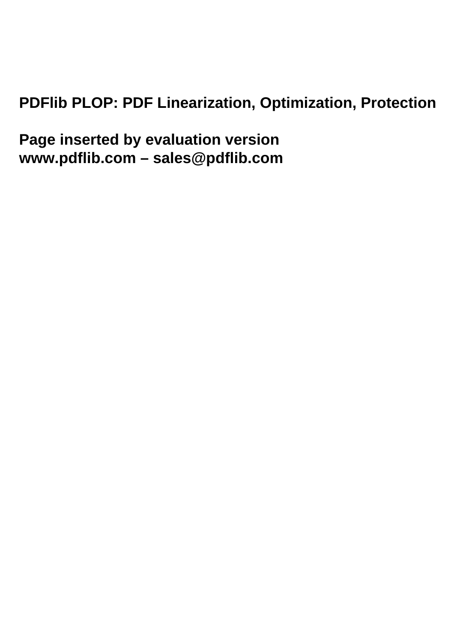# **PDFlib PLOP: PDF Linearization, Optimization, Protection**

**Page inserted by evaluation version www.pdflib.com – sales@pdflib.com**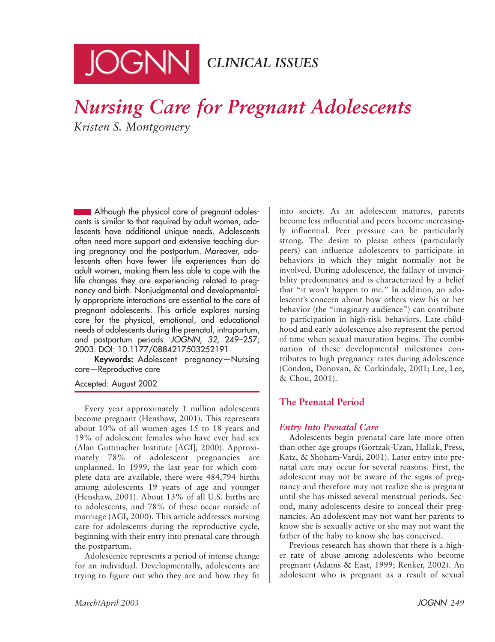

# *Nursing Care for Pregnant Adolescents Kristen S. Montgomery*

Although the physical care of pregnant adolescents is similar to that required by adult women, adolescents have additional unique needs. Adolescents often need more support and extensive teaching during pregnancy and the postpartum. Moreover, adolescents often have fewer life experiences than do adult women, making them less able to cope with the life changes they are experiencing related to pregnancy and birth. Nonjudgmental and developmentally appropriate interactions are essential to the care of pregnant adolescents. This article explores nursing care for the physical, emotional, and educational needs of adolescents during the prenatal, intrapartum, and postpartum periods. JOGNN, 32, 249–257; 2003. DOI: 10.1177/0884217503252191

**Keywords:** Adolescent pregnancy—Nursing care—Reproductive care

Accepted: August 2002

Every year approximately 1 million adolescents become pregnant (Henshaw, 2001). This represents about 10% of all women ages 15 to 18 years and 19% of adolescent females who have ever had sex (Alan Guttmacher Institute [AGI], 2000). Approximately 78% of adolescent pregnancies are unplanned. In 1999, the last year for which complete data are available, there were 484,794 births among adolescents 19 years of age and younger (Henshaw, 2001). About 13% of all U.S. births are to adolescents, and 78% of these occur outside of marriage (AGI, 2000). This article addresses nursing care for adolescents during the reproductive cycle, beginning with their entry into prenatal care through the postpartum.

Adolescence represents a period of intense change for an individual. Developmentally, adolescents are trying to figure out who they are and how they fit into society. As an adolescent matures, parents become less influential and peers become increasingly influential. Peer pressure can be particularly strong. The desire to please others (particularly peers) can influence adolescents to participate in behaviors in which they might normally not be involved. During adolescence, the fallacy of invincibility predominates and is characterized by a belief that "it won't happen to me." In addition, an adolescent's concern about how others view his or her behavior (the "imaginary audience") can contribute to participation in high-risk behaviors. Late childhood and early adolescence also represent the period of time when sexual maturation begins. The combination of these developmental milestones contributes to high pregnancy rates during adolescence (Condon, Donovan, & Corkindale, 2001; Lee, Lee, & Chou, 2001).

# **The Prenatal Period**

# *Entry Into Prenatal Care*

Adolescents begin prenatal care late more often than other age groups (Gortzak-Uzan, Hallak, Press, Katz, & Shoham-Vardi, 2001). Later entry into prenatal care may occur for several reasons. First, the adolescent may not be aware of the signs of pregnancy and therefore may not realize she is pregnant until she has missed several menstrual periods. Second, many adolescents desire to conceal their pregnancies. An adolescent may not want her parents to know she is sexually active or she may not want the father of the baby to know she has conceived.

Previous research has shown that there is a higher rate of abuse among adolescents who become pregnant (Adams & East, 1999; Renker, 2002). An adolescent who is pregnant as a result of sexual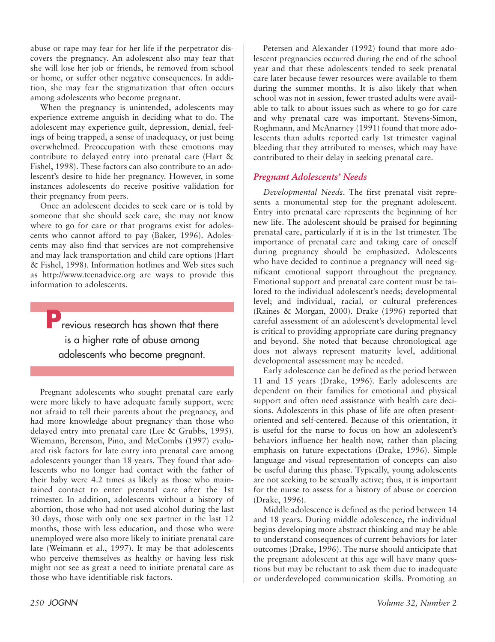abuse or rape may fear for her life if the perpetrator discovers the pregnancy. An adolescent also may fear that she will lose her job or friends, be removed from school or home, or suffer other negative consequences. In addition, she may fear the stigmatization that often occurs among adolescents who become pregnant.

When the pregnancy is unintended, adolescents may experience extreme anguish in deciding what to do. The adolescent may experience guilt, depression, denial, feelings of being trapped, a sense of inadequacy, or just being overwhelmed. Preoccupation with these emotions may contribute to delayed entry into prenatal care (Hart & Fishel, 1998). These factors can also contribute to an adolescent's desire to hide her pregnancy. However, in some instances adolescents do receive positive validation for their pregnancy from peers.

Once an adolescent decides to seek care or is told by someone that she should seek care, she may not know where to go for care or that programs exist for adolescents who cannot afford to pay (Baker, 1996). Adolescents may also find that services are not comprehensive and may lack transportation and child care options (Hart & Fishel, 1998). Information hotlines and Web sites such as http://www.teenadvice.org are ways to provide this information to adolescents.

**Previous research has shown that there** is a higher rate of abuse among adolescents who become pregnant.

Pregnant adolescents who sought prenatal care early were more likely to have adequate family support, were not afraid to tell their parents about the pregnancy, and had more knowledge about pregnancy than those who delayed entry into prenatal care (Lee & Grubbs, 1995). Wiemann, Berenson, Pino, and McCombs (1997) evaluated risk factors for late entry into prenatal care among adolescents younger than 18 years. They found that adolescents who no longer had contact with the father of their baby were 4.2 times as likely as those who maintained contact to enter prenatal care after the 1st trimester. In addition, adolescents without a history of abortion, those who had not used alcohol during the last 30 days, those with only one sex partner in the last 12 months, those with less education, and those who were unemployed were also more likely to initiate prenatal care late (Weimann et al., 1997). It may be that adolescents who perceive themselves as healthy or having less risk might not see as great a need to initiate prenatal care as those who have identifiable risk factors.

Petersen and Alexander (1992) found that more adolescent pregnancies occurred during the end of the school year and that these adolescents tended to seek prenatal care later because fewer resources were available to them during the summer months. It is also likely that when school was not in session, fewer trusted adults were available to talk to about issues such as where to go for care and why prenatal care was important. Stevens-Simon, Roghmann, and McAnarney (1991) found that more adolescents than adults reported early 1st trimester vaginal bleeding that they attributed to menses, which may have contributed to their delay in seeking prenatal care.

# *Pregnant Adolescents' Needs*

*Developmental Needs*. The first prenatal visit represents a monumental step for the pregnant adolescent. Entry into prenatal care represents the beginning of her new life. The adolescent should be praised for beginning prenatal care, particularly if it is in the 1st trimester. The importance of prenatal care and taking care of oneself during pregnancy should be emphasized. Adolescents who have decided to continue a pregnancy will need significant emotional support throughout the pregnancy. Emotional support and prenatal care content must be tailored to the individual adolescent's needs; developmental level; and individual, racial, or cultural preferences (Raines & Morgan, 2000). Drake (1996) reported that careful assessment of an adolescent's developmental level is critical to providing appropriate care during pregnancy and beyond. She noted that because chronological age does not always represent maturity level, additional developmental assessment may be needed.

Early adolescence can be defined as the period between 11 and 15 years (Drake, 1996). Early adolescents are dependent on their families for emotional and physical support and often need assistance with health care decisions. Adolescents in this phase of life are often presentoriented and self-centered. Because of this orientation, it is useful for the nurse to focus on how an adolescent's behaviors influence her health now, rather than placing emphasis on future expectations (Drake, 1996). Simple language and visual representation of concepts can also be useful during this phase. Typically, young adolescents are not seeking to be sexually active; thus, it is important for the nurse to assess for a history of abuse or coercion (Drake, 1996).

Middle adolescence is defined as the period between 14 and 18 years. During middle adolescence, the individual begins developing more abstract thinking and may be able to understand consequences of current behaviors for later outcomes (Drake, 1996). The nurse should anticipate that the pregnant adolescent at this age will have many questions but may be reluctant to ask them due to inadequate or underdeveloped communication skills. Promoting an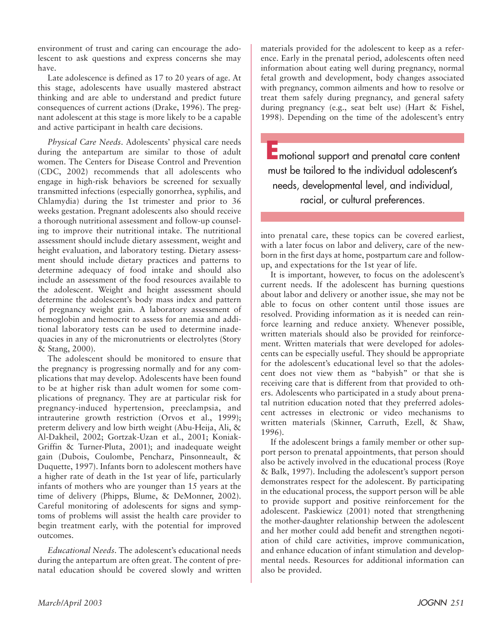environment of trust and caring can encourage the adolescent to ask questions and express concerns she may have.

Late adolescence is defined as 17 to 20 years of age. At this stage, adolescents have usually mastered abstract thinking and are able to understand and predict future consequences of current actions (Drake, 1996). The pregnant adolescent at this stage is more likely to be a capable and active participant in health care decisions.

*Physical Care Needs*. Adolescents' physical care needs during the antepartum are similar to those of adult women. The Centers for Disease Control and Prevention (CDC, 2002) recommends that all adolescents who engage in high-risk behaviors be screened for sexually transmitted infections (especially gonorrhea, syphilis, and Chlamydia) during the 1st trimester and prior to 36 weeks gestation. Pregnant adolescents also should receive a thorough nutritional assessment and follow-up counseling to improve their nutritional intake. The nutritional assessment should include dietary assessment, weight and height evaluation, and laboratory testing. Dietary assessment should include dietary practices and patterns to determine adequacy of food intake and should also include an assessment of the food resources available to the adolescent. Weight and height assessment should determine the adolescent's body mass index and pattern of pregnancy weight gain. A laboratory assessment of hemoglobin and hemocrit to assess for anemia and additional laboratory tests can be used to determine inadequacies in any of the micronutrients or electrolytes (Story & Stang, 2000).

The adolescent should be monitored to ensure that the pregnancy is progressing normally and for any complications that may develop. Adolescents have been found to be at higher risk than adult women for some complications of pregnancy. They are at particular risk for pregnancy-induced hypertension, preeclampsia, and intrauterine growth restriction (Orvos et al., 1999); preterm delivery and low birth weight (Abu-Heija, Ali, & Al-Dakheil, 2002; Gortzak-Uzan et al., 2001; Koniak-Griffin & Turner-Pluta, 2001); and inadequate weight gain (Dubois, Coulombe, Pencharz, Pinsonneault, & Duquette, 1997). Infants born to adolescent mothers have a higher rate of death in the 1st year of life, particularly infants of mothers who are younger than 15 years at the time of delivery (Phipps, Blume, & DeMonner, 2002). Careful monitoring of adolescents for signs and symptoms of problems will assist the health care provider to begin treatment early, with the potential for improved outcomes.

*Educational Needs*. The adolescent's educational needs during the antepartum are often great. The content of prenatal education should be covered slowly and written materials provided for the adolescent to keep as a reference. Early in the prenatal period, adolescents often need information about eating well during pregnancy, normal fetal growth and development, body changes associated with pregnancy, common ailments and how to resolve or treat them safely during pregnancy, and general safety during pregnancy (e.g., seat belt use) (Hart & Fishel, 1998). Depending on the time of the adolescent's entry

**E**motional support and prenatal care content must be tailored to the individual adolescent's needs, developmental level, and individual, racial, or cultural preferences.

into prenatal care, these topics can be covered earliest, with a later focus on labor and delivery, care of the newborn in the first days at home, postpartum care and followup, and expectations for the 1st year of life.

It is important, however, to focus on the adolescent's current needs. If the adolescent has burning questions about labor and delivery or another issue, she may not be able to focus on other content until those issues are resolved. Providing information as it is needed can reinforce learning and reduce anxiety. Whenever possible, written materials should also be provided for reinforcement. Written materials that were developed for adolescents can be especially useful. They should be appropriate for the adolescent's educational level so that the adolescent does not view them as "babyish" or that she is receiving care that is different from that provided to others. Adolescents who participated in a study about prenatal nutrition education noted that they preferred adolescent actresses in electronic or video mechanisms to written materials (Skinner, Carruth, Ezell, & Shaw, 1996).

If the adolescent brings a family member or other support person to prenatal appointments, that person should also be actively involved in the educational process (Roye & Balk, 1997). Including the adolescent's support person demonstrates respect for the adolescent. By participating in the educational process, the support person will be able to provide support and positive reinforcement for the adolescent. Paskiewicz (2001) noted that strengthening the mother-daughter relationship between the adolescent and her mother could add benefit and strengthen negotiation of child care activities, improve communication, and enhance education of infant stimulation and developmental needs. Resources for additional information can also be provided.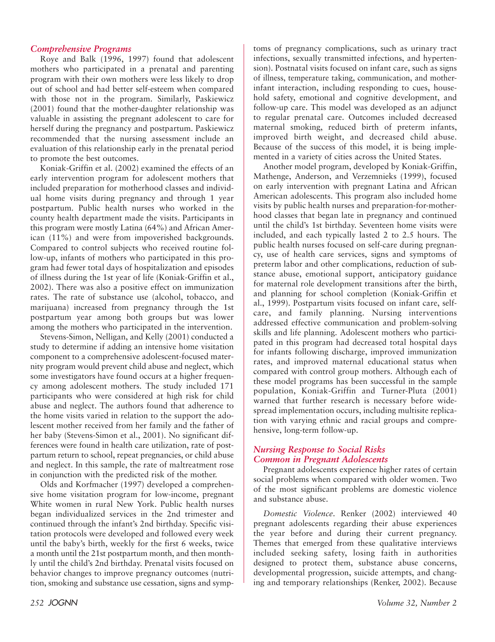#### *Comprehensive Programs*

Roye and Balk (1996, 1997) found that adolescent mothers who participated in a prenatal and parenting program with their own mothers were less likely to drop out of school and had better self-esteem when compared with those not in the program. Similarly, Paskiewicz (2001) found that the mother-daughter relationship was valuable in assisting the pregnant adolescent to care for herself during the pregnancy and postpartum. Paskiewicz recommended that the nursing assessment include an evaluation of this relationship early in the prenatal period to promote the best outcomes.

Koniak-Griffin et al. (2002) examined the effects of an early intervention program for adolescent mothers that included preparation for motherhood classes and individual home visits during pregnancy and through 1 year postpartum. Public health nurses who worked in the county health department made the visits. Participants in this program were mostly Latina (64%) and African American (11%) and were from impoverished backgrounds. Compared to control subjects who received routine follow-up, infants of mothers who participated in this program had fewer total days of hospitalization and episodes of illness during the 1st year of life (Koniak-Griffin et al., 2002). There was also a positive effect on immunization rates. The rate of substance use (alcohol, tobacco, and marijuana) increased from pregnancy through the 1st postpartum year among both groups but was lower among the mothers who participated in the intervention.

Stevens-Simon, Nelligan, and Kelly (2001) conducted a study to determine if adding an intensive home visitation component to a comprehensive adolescent-focused maternity program would prevent child abuse and neglect, which some investigators have found occurs at a higher frequency among adolescent mothers. The study included 171 participants who were considered at high risk for child abuse and neglect. The authors found that adherence to the home visits varied in relation to the support the adolescent mother received from her family and the father of her baby (Stevens-Simon et al., 2001). No significant differences were found in health care utilization, rate of postpartum return to school, repeat pregnancies, or child abuse and neglect. In this sample, the rate of maltreatment rose in conjunction with the predicted risk of the mother.

Olds and Korfmacher (1997) developed a comprehensive home visitation program for low-income, pregnant White women in rural New York. Public health nurses began individualized services in the 2nd trimester and continued through the infant's 2nd birthday. Specific visitation protocols were developed and followed every week until the baby's birth, weekly for the first 6 weeks, twice a month until the 21st postpartum month, and then monthly until the child's 2nd birthday. Prenatal visits focused on behavior changes to improve pregnancy outcomes (nutrition, smoking and substance use cessation, signs and symptoms of pregnancy complications, such as urinary tract infections, sexually transmitted infections, and hypertension). Postnatal visits focused on infant care, such as signs of illness, temperature taking, communication, and motherinfant interaction, including responding to cues, household safety, emotional and cognitive development, and follow-up care. This model was developed as an adjunct to regular prenatal care. Outcomes included decreased maternal smoking, reduced birth of preterm infants, improved birth weight, and decreased child abuse. Because of the success of this model, it is being implemented in a variety of cities across the United States.

Another model program, developed by Koniak-Griffin, Mathenge, Anderson, and Verzemnieks (1999), focused on early intervention with pregnant Latina and African American adolescents. This program also included home visits by public health nurses and preparation-for-motherhood classes that began late in pregnancy and continued until the child's 1st birthday. Seventeen home visits were included, and each typically lasted 2 to 2.5 hours. The public health nurses focused on self-care during pregnancy, use of health care services, signs and symptoms of preterm labor and other complications, reduction of substance abuse, emotional support, anticipatory guidance for maternal role development transitions after the birth, and planning for school completion (Koniak-Griffin et al., 1999). Postpartum visits focused on infant care, selfcare, and family planning. Nursing interventions addressed effective communication and problem-solving skills and life planning. Adolescent mothers who participated in this program had decreased total hospital days for infants following discharge, improved immunization rates, and improved maternal educational status when compared with control group mothers. Although each of these model programs has been successful in the sample population, Koniak-Griffin and Turner-Pluta (2001) warned that further research is necessary before widespread implementation occurs, including multisite replication with varying ethnic and racial groups and comprehensive, long-term follow-up.

# *Nursing Response to Social Risks Common in Pregnant Adolescents*

Pregnant adolescents experience higher rates of certain social problems when compared with older women. Two of the most significant problems are domestic violence and substance abuse.

*Domestic Violence*. Renker (2002) interviewed 40 pregnant adolescents regarding their abuse experiences the year before and during their current pregnancy. Themes that emerged from these qualitative interviews included seeking safety, losing faith in authorities designed to protect them, substance abuse concerns, developmental progression, suicide attempts, and changing and temporary relationships (Renker, 2002). Because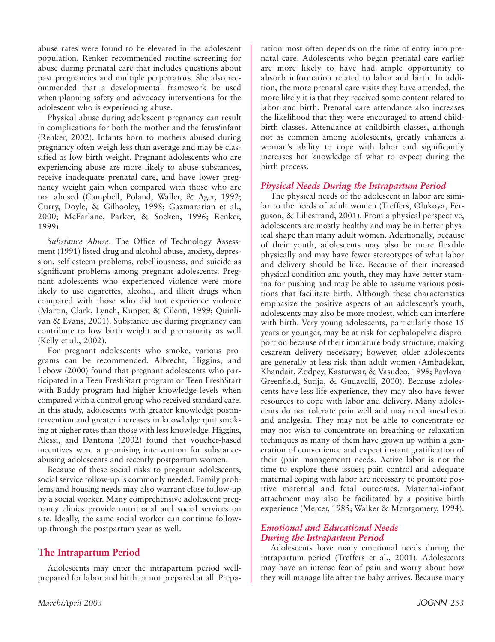abuse rates were found to be elevated in the adolescent population, Renker recommended routine screening for abuse during prenatal care that includes questions about past pregnancies and multiple perpetrators. She also recommended that a developmental framework be used when planning safety and advocacy interventions for the adolescent who is experiencing abuse.

Physical abuse during adolescent pregnancy can result in complications for both the mother and the fetus/infant (Renker, 2002). Infants born to mothers abused during pregnancy often weigh less than average and may be classified as low birth weight. Pregnant adolescents who are experiencing abuse are more likely to abuse substances, receive inadequate prenatal care, and have lower pregnancy weight gain when compared with those who are not abused (Campbell, Poland, Waller, & Ager, 1992; Curry, Doyle, & Gilhooley, 1998; Gazmararian et al., 2000; McFarlane, Parker, & Soeken, 1996; Renker, 1999).

*Substance Abuse*. The Office of Technology Assessment (1991) listed drug and alcohol abuse, anxiety, depression, self-esteem problems, rebelliousness, and suicide as significant problems among pregnant adolescents. Pregnant adolescents who experienced violence were more likely to use cigarettes, alcohol, and illicit drugs when compared with those who did not experience violence (Martin, Clark, Lynch, Kupper, & Cilenti, 1999; Quinlivan & Evans, 2001). Substance use during pregnancy can contribute to low birth weight and prematurity as well (Kelly et al., 2002).

For pregnant adolescents who smoke, various programs can be recommended. Albrecht, Higgins, and Lebow (2000) found that pregnant adolescents who participated in a Teen FreshStart program or Teen FreshStart with Buddy program had higher knowledge levels when compared with a control group who received standard care. In this study, adolescents with greater knowledge postintervention and greater increases in knowledge quit smoking at higher rates than those with less knowledge. Higgins, Alessi, and Dantona (2002) found that voucher-based incentives were a promising intervention for substanceabusing adolescents and recently postpartum women.

Because of these social risks to pregnant adolescents, social service follow-up is commonly needed. Family problems and housing needs may also warrant close follow-up by a social worker. Many comprehensive adolescent pregnancy clinics provide nutritional and social services on site. Ideally, the same social worker can continue followup through the postpartum year as well.

# **The Intrapartum Period**

Adolescents may enter the intrapartum period wellprepared for labor and birth or not prepared at all. Preparation most often depends on the time of entry into prenatal care. Adolescents who began prenatal care earlier are more likely to have had ample opportunity to absorb information related to labor and birth. In addition, the more prenatal care visits they have attended, the more likely it is that they received some content related to labor and birth. Prenatal care attendance also increases the likelihood that they were encouraged to attend childbirth classes. Attendance at childbirth classes, although not as common among adolescents, greatly enhances a woman's ability to cope with labor and significantly increases her knowledge of what to expect during the birth process.

#### *Physical Needs During the Intrapartum Period*

The physical needs of the adolescent in labor are similar to the needs of adult women (Treffers, Olukoya, Ferguson, & Liljestrand, 2001). From a physical perspective, adolescents are mostly healthy and may be in better physical shape than many adult women. Additionally, because of their youth, adolescents may also be more flexible physically and may have fewer stereotypes of what labor and delivery should be like. Because of their increased physical condition and youth, they may have better stamina for pushing and may be able to assume various positions that facilitate birth. Although these characteristics emphasize the positive aspects of an adolescent's youth, adolescents may also be more modest, which can interfere with birth. Very young adolescents, particularly those 15 years or younger, may be at risk for cephalopelvic disproportion because of their immature body structure, making cesarean delivery necessary; however, older adolescents are generally at less risk than adult women (Ambadekar, Khandait, Zodpey, Kasturwar, & Vasudeo, 1999; Pavlova-Greenfield, Sutija, & Gudavalli, 2000). Because adolescents have less life experience, they may also have fewer resources to cope with labor and delivery. Many adolescents do not tolerate pain well and may need anesthesia and analgesia. They may not be able to concentrate or may not wish to concentrate on breathing or relaxation techniques as many of them have grown up within a generation of convenience and expect instant gratification of their (pain management) needs. Active labor is not the time to explore these issues; pain control and adequate maternal coping with labor are necessary to promote positive maternal and fetal outcomes. Maternal-infant attachment may also be facilitated by a positive birth experience (Mercer, 1985; Walker & Montgomery, 1994).

#### *Emotional and Educational Needs During the Intrapartum Period*

Adolescents have many emotional needs during the intrapartum period (Treffers et al., 2001). Adolescents may have an intense fear of pain and worry about how they will manage life after the baby arrives. Because many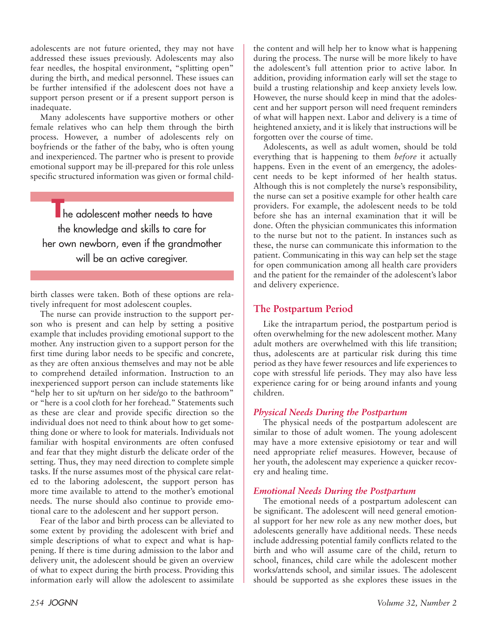adolescents are not future oriented, they may not have addressed these issues previously. Adolescents may also fear needles, the hospital environment, "splitting open" during the birth, and medical personnel. These issues can be further intensified if the adolescent does not have a support person present or if a present support person is inadequate.

Many adolescents have supportive mothers or other female relatives who can help them through the birth process. However, a number of adolescents rely on boyfriends or the father of the baby, who is often young and inexperienced. The partner who is present to provide emotional support may be ill-prepared for this role unless specific structured information was given or formal child-

**The adolescent mother needs to have** the knowledge and skills to care for her own newborn, even if the grandmother will be an active caregiver.

birth classes were taken. Both of these options are relatively infrequent for most adolescent couples.

The nurse can provide instruction to the support person who is present and can help by setting a positive example that includes providing emotional support to the mother. Any instruction given to a support person for the first time during labor needs to be specific and concrete, as they are often anxious themselves and may not be able to comprehend detailed information. Instruction to an inexperienced support person can include statements like "help her to sit up/turn on her side/go to the bathroom" or "here is a cool cloth for her forehead." Statements such as these are clear and provide specific direction so the individual does not need to think about how to get something done or where to look for materials. Individuals not familiar with hospital environments are often confused and fear that they might disturb the delicate order of the setting. Thus, they may need direction to complete simple tasks. If the nurse assumes most of the physical care related to the laboring adolescent, the support person has more time available to attend to the mother's emotional needs. The nurse should also continue to provide emotional care to the adolescent and her support person.

Fear of the labor and birth process can be alleviated to some extent by providing the adolescent with brief and simple descriptions of what to expect and what is happening. If there is time during admission to the labor and delivery unit, the adolescent should be given an overview of what to expect during the birth process. Providing this information early will allow the adolescent to assimilate the content and will help her to know what is happening during the process. The nurse will be more likely to have the adolescent's full attention prior to active labor. In addition, providing information early will set the stage to build a trusting relationship and keep anxiety levels low. However, the nurse should keep in mind that the adolescent and her support person will need frequent reminders of what will happen next. Labor and delivery is a time of heightened anxiety, and it is likely that instructions will be forgotten over the course of time.

Adolescents, as well as adult women, should be told everything that is happening to them *before* it actually happens. Even in the event of an emergency, the adolescent needs to be kept informed of her health status. Although this is not completely the nurse's responsibility, the nurse can set a positive example for other health care providers. For example, the adolescent needs to be told before she has an internal examination that it will be done. Often the physician communicates this information to the nurse but not to the patient. In instances such as these, the nurse can communicate this information to the patient. Communicating in this way can help set the stage for open communication among all health care providers and the patient for the remainder of the adolescent's labor and delivery experience.

# **The Postpartum Period**

Like the intrapartum period, the postpartum period is often overwhelming for the new adolescent mother. Many adult mothers are overwhelmed with this life transition; thus, adolescents are at particular risk during this time period as they have fewer resources and life experiences to cope with stressful life periods. They may also have less experience caring for or being around infants and young children.

#### *Physical Needs During the Postpartum*

The physical needs of the postpartum adolescent are similar to those of adult women. The young adolescent may have a more extensive episiotomy or tear and will need appropriate relief measures. However, because of her youth, the adolescent may experience a quicker recovery and healing time.

#### *Emotional Needs During the Postpartum*

The emotional needs of a postpartum adolescent can be significant. The adolescent will need general emotional support for her new role as any new mother does, but adolescents generally have additional needs. These needs include addressing potential family conflicts related to the birth and who will assume care of the child, return to school, finances, child care while the adolescent mother works/attends school, and similar issues. The adolescent should be supported as she explores these issues in the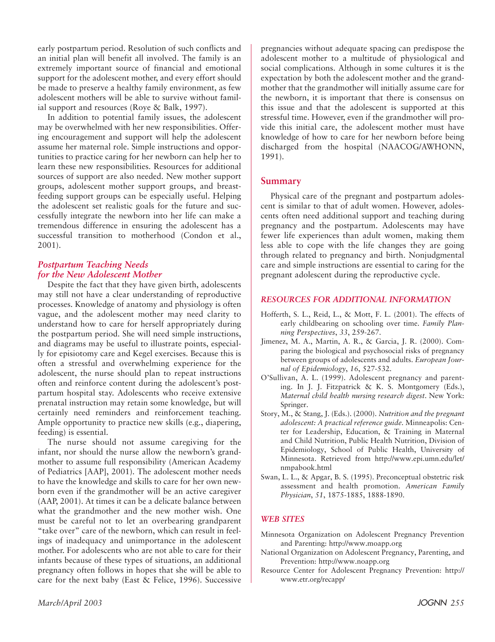early postpartum period. Resolution of such conflicts and an initial plan will benefit all involved. The family is an extremely important source of financial and emotional support for the adolescent mother, and every effort should be made to preserve a healthy family environment, as few adolescent mothers will be able to survive without familial support and resources (Roye & Balk, 1997).

In addition to potential family issues, the adolescent may be overwhelmed with her new responsibilities. Offering encouragement and support will help the adolescent assume her maternal role. Simple instructions and opportunities to practice caring for her newborn can help her to learn these new responsibilities. Resources for additional sources of support are also needed. New mother support groups, adolescent mother support groups, and breastfeeding support groups can be especially useful. Helping the adolescent set realistic goals for the future and successfully integrate the newborn into her life can make a tremendous difference in ensuring the adolescent has a successful transition to motherhood (Condon et al., 2001).

# *Postpartum Teaching Needs for the New Adolescent Mother*

Despite the fact that they have given birth, adolescents may still not have a clear understanding of reproductive processes. Knowledge of anatomy and physiology is often vague, and the adolescent mother may need clarity to understand how to care for herself appropriately during the postpartum period. She will need simple instructions, and diagrams may be useful to illustrate points, especially for episiotomy care and Kegel exercises. Because this is often a stressful and overwhelming experience for the adolescent, the nurse should plan to repeat instructions often and reinforce content during the adolescent's postpartum hospital stay. Adolescents who receive extensive prenatal instruction may retain some knowledge, but will certainly need reminders and reinforcement teaching. Ample opportunity to practice new skills (e.g., diapering, feeding) is essential.

The nurse should not assume caregiving for the infant, nor should the nurse allow the newborn's grandmother to assume full responsibility (American Academy of Pediatrics [AAP], 2001). The adolescent mother needs to have the knowledge and skills to care for her own newborn even if the grandmother will be an active caregiver (AAP, 2001). At times it can be a delicate balance between what the grandmother and the new mother wish. One must be careful not to let an overbearing grandparent "take over" care of the newborn, which can result in feelings of inadequacy and unimportance in the adolescent mother. For adolescents who are not able to care for their infants because of these types of situations, an additional pregnancy often follows in hopes that she will be able to care for the next baby (East & Felice, 1996). Successive pregnancies without adequate spacing can predispose the adolescent mother to a multitude of physiological and social complications. Although in some cultures it is the expectation by both the adolescent mother and the grandmother that the grandmother will initially assume care for the newborn, it is important that there is consensus on this issue and that the adolescent is supported at this stressful time. However, even if the grandmother will provide this initial care, the adolescent mother must have knowledge of how to care for her newborn before being discharged from the hospital (NAACOG/AWHONN, 1991).

# **Summary**

Physical care of the pregnant and postpartum adolescent is similar to that of adult women. However, adolescents often need additional support and teaching during pregnancy and the postpartum. Adolescents may have fewer life experiences than adult women, making them less able to cope with the life changes they are going through related to pregnancy and birth. Nonjudgmental care and simple instructions are essential to caring for the pregnant adolescent during the reproductive cycle.

#### *RESOURCES FOR ADDITIONAL INFORMATION*

- Hofferth, S. L., Reid, L., & Mott, F. L. (2001). The effects of early childbearing on schooling over time. *Family Planning Perspectives*, *33*, 259-267.
- Jimenez, M. A., Martin, A. R., & Garcia, J. R. (2000). Comparing the biological and psychosocial risks of pregnancy between groups of adolescents and adults. *European Journal of Epidemiology*, *16*, 527-532.
- O'Sullivan, A. L. (1999). Adolescent pregnancy and parenting. In J. J. Fitzpatrick & K. S. Montgomery (Eds.), *Maternal child health nursing research digest*. New York: Springer.
- Story, M., & Stang, J. (Eds.). (2000). *Nutrition and the pregnant adolescent: A practical reference guide.* Minneapolis: Center for Leadership, Education, & Training in Maternal and Child Nutrition, Public Health Nutrition, Division of Epidemiology, School of Public Health, University of Minnesota. Retrieved from http://www.epi.umn.edu/let/ nmpabook.html
- Swan, L. L., & Apgar, B. S. (1995). Preconceptual obstetric risk assessment and health promotion. *American Family Physician*, *51*, 1875-1885, 1888-1890.

#### *WEB SITES*

- Minnesota Organization on Adolescent Pregnancy Prevention and Parenting: http://www.moapp.org
- National Organization on Adolescent Pregnancy, Parenting, and Prevention: http://www.noapp.org
- Resource Center for Adolescent Pregnancy Prevention: http:// www.etr.org/recapp/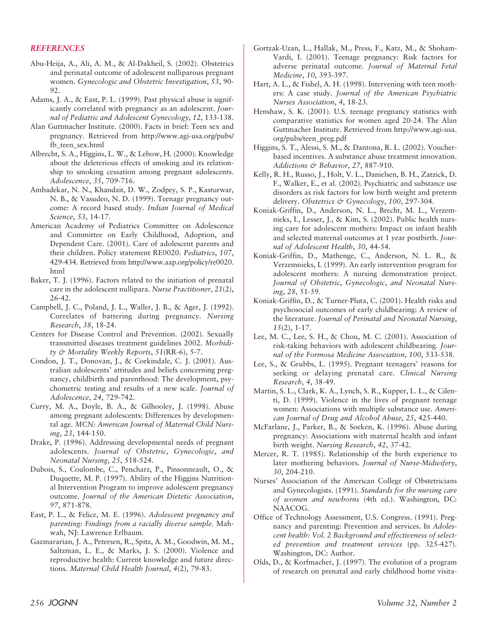#### *REFERENCES*

- Abu-Heija, A., Ali, A. M., & Al-Dakheil, S. (2002). Obstetrics and perinatal outcome of adolescent nulliparous pregnant women. *Gynecologic and Obstetric Investigation*, *53*, 90- 92.
- Adams, J. A., & East, P. L. (1999). Past physical abuse is significantly correlated with pregnancy as an adolescent. *Journal of Pediatric and Adolescent Gynecology*, *12*, 133-138.
- Alan Guttmacher Institute. (2000). Facts in brief: Teen sex and pregnancy. Retrieved from http://www.agi-usa.org/pubs/ fb\_teen\_sex.html
- Albrecht, S. A., Higgins, L. W., & Lebow, H. (2000). Knowledge about the deleterious effects of smoking and its relationship to smoking cessation among pregnant adolescents. *Adolescence*, *35*, 709-716.
- Ambadekar, N. N., Khandait, D. W., Zodpey, S. P., Kasturwar, N. B., & Vasudeo, N. D. (1999). Teenage pregnancy outcome: A record based study. *Indian Journal of Medical Science*, *53*, 14-17.
- American Academy of Pediatrics Committee on Adolescence and Committee on Early Childhood, Adoption, and Dependent Care. (2001). Care of adolescent parents and their children. Policy statement RE0020. *Pediatrics*, *107*, 429-434. Retrieved from http://www.aap.org/policy/re0020. html
- Baker, T. J. (1996). Factors related to the initiation of prenatal care in the adolescent nullipara. *Nurse Practitioner*, *21*(2), 26-42.
- Campbell, J. C., Poland, J. L., Waller, J. B., & Ager, J. (1992). Correlates of battering during pregnancy. *Nursing Research*, *38*, 18-24.
- Centers for Disease Control and Prevention. (2002). Sexually transmitted diseases treatment guidelines 2002. *Morbidity & Mortality Weekly Reports*, *51*(RR-6), 5-7.
- Condon, J. T., Donovan, J., & Corkindale, C. J. (2001). Australian adolescents' attitudes and beliefs concerning pregnancy, childbirth and parenthood: The development, psychometric testing and results of a new scale. *Journal of Adolescence*, *24*, 729-742.
- Curry, M. A., Doyle, B. A., & Gilhooley, J. (1998). Abuse among pregnant adolescents: Differences by developmental age. *MCN: American Journal of Maternal Child Nursing*, *23*, 144-150.
- Drake, P. (1996). Addressing developmental needs of pregnant adolescents. *Journal of Obstetric*, *Gynecologic*, *and Neonatal Nursing*, *25*, 518-524.
- Dubois, S., Coulombe, C., Pencharz, P., Pinsonneault, O., & Duquette, M. P. (1997). Ability of the Higgins Nutritional Intervention Program to improve adolescent pregnancy outcome. *Journal of the American Dietetic Association*, *97*, 871-878.
- East, P. L., & Felice, M. E. (1996). *Adolescent pregnancy and parenting: Findings from a racially diverse sample*. Mahwah, NJ: Lawrence Erlbaum.
- Gazmararian, J. A., Petersen, R., Spitz, A. M., Goodwin, M. M., Saltzman, L. E., & Marks, J. S. (2000). Violence and reproductive health: Current knowledge and future directions. *Maternal Child Health Journal*, *4*(2), 79-83.
- Gortzak-Uzan, L., Hallak, M., Press, F., Katz, M., & Shoham-Vardi, I. (2001). Teenage pregnancy: Risk factors for adverse perinatal outcome. *Journal of Maternal Fetal Medicine*, *10*, 393-397.
- Hart, A. L., & Fishel, A. H. (1998). Intervening with teen mothers: A case study. *Journal of the American Psychiatric Nurses Association*, *4*, 18-23.
- Henshaw, S. K. (2001). U.S. teenage pregnancy statistics with comparative statistics for women aged 20-24. The Alan Guttmacher Institute. Retrieved from http://www.agi-usa. org/pubs/teen\_preg.pdf
- Higgins, S. T., Alessi, S. M., & Dantona, R. L. (2002). Voucherbased incentives. A substance abuse treatment innovation. *Addictions & Behavior*, *27*, 887-910.
- Kelly, R. H., Russo, J., Holt, V. L., Danielsen, B. H., Zatzick, D. F., Walker, E., et al. (2002). Psychiatric and substance use disorders as risk factors for low birth weight and preterm delivery. *Obstetrics & Gynecology*, *100*, 297-304.
- Koniak-Griffin, D., Anderson, N. L., Brecht, M. L., Verzemnieks, I., Lesser, J., & Kim, S. (2002). Public health nursing care for adolescent mothers: Impact on infant health and selected maternal outcomes at 1 year postbirth. *Journal of Adolescent Health*, *30*, 44-54.
- Koniak-Griffin, D., Mathenge, C., Anderson, N. L. R., & Verzemnieks, I. (1999). An early intervention program for adolescent mothers: A nursing demonstration project. *Journal of Obstetric*, *Gynecologic*, *and Neonatal Nursing*, *28*, 51-59.
- Koniak-Griffin, D., & Turner-Pluta, C. (2001). Health risks and psychosocial outcomes of early childbearing: A review of the literature. *Journal of Perinatal and Neonatal Nursing*, *15*(2), 1-17.
- Lee, M. C., Lee, S. H., & Chou, M. C. (2001). Association of risk-taking behaviors with adolescent childbearing. *Journal of the Formosa Medicine Association*, *100*, 533-538.
- Lee, S., & Grubbs, L. (1995). Pregnant teenagers' reasons for seeking or delaying prenatal care. *Clinical Nursing Research*, *4*, 38-49.
- Martin, S. L., Clark, K. A., Lynch, S. R., Kupper, L. L., & Cilenti, D. (1999). Violence in the lives of pregnant teenage women: Associations with multiple substance use. *American Journal of Drug and Alcohol Abuse*, *25*, 425-440.
- McFarlane, J., Parker, B., & Soeken, K. (1996). Abuse during pregnancy: Associations with maternal health and infant birth weight. *Nursing Research*, *42*, 37-42.
- Mercer, R. T. (1985). Relationship of the birth experience to later mothering behaviors. *Journal of Nurse-Midwifery*, *30*, 204-210.
- Nurses' Association of the American College of Obstetricians and Gynecologists. (1991). *Standards for the nursing care of women and newborns* (4th ed.). Washington, DC: NAACOG.
- Office of Technology Assessment, U.S. Congress. (1991). Pregnancy and parenting: Prevention and services. In *Adolescent health: Vol. 2 Background and effectiveness of selected prevention and treatment services* (pp. 325-427). Washington, DC: Author.
- Olds, D., & Korfmacher, J. (1997). The evolution of a program of research on prenatal and early childhood home visita-